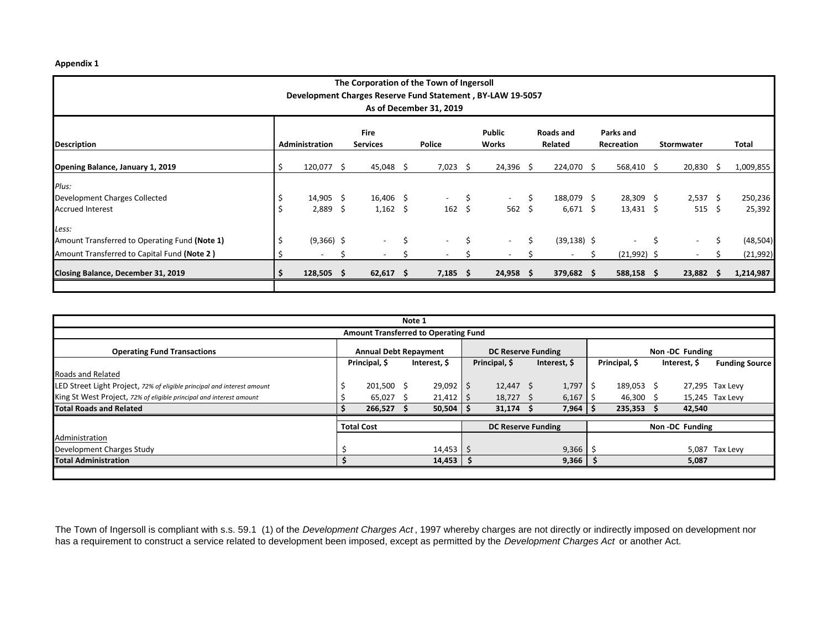## **Appendix 1**

| The Corporation of the Town of Ingersoll      |                                                            |                                   |  |                          |    |                  |       |             |      |                |  |                          |    |                          |    |           |  |
|-----------------------------------------------|------------------------------------------------------------|-----------------------------------|--|--------------------------|----|------------------|-------|-------------|------|----------------|--|--------------------------|----|--------------------------|----|-----------|--|
|                                               | Development Charges Reserve Fund Statement, BY-LAW 19-5057 |                                   |  |                          |    |                  |       |             |      |                |  |                          |    |                          |    |           |  |
| As of December 31, 2019                       |                                                            |                                   |  |                          |    |                  |       |             |      |                |  |                          |    |                          |    |           |  |
|                                               |                                                            |                                   |  | <b>Fire</b>              |    |                  |       | Public      |      | Roads and      |  | Parks and                |    |                          |    |           |  |
| <b>Description</b>                            |                                                            | Administration<br><b>Services</b> |  |                          |    | <b>Police</b>    | Works |             |      | Related        |  | <b>Recreation</b>        |    | <b>Stormwater</b>        |    | Total     |  |
| Opening Balance, January 1, 2019              | S                                                          | 120,077 \$                        |  | $45,048$ \$              |    | $7,023$ \$       |       | $24,396$ \$ |      | 224,070 \$     |  | 568,410 \$               |    | $20,830 \quad $$         |    | 1,009,855 |  |
| Plus:                                         |                                                            |                                   |  |                          |    |                  |       |             |      |                |  |                          |    |                          |    |           |  |
| Development Charges Collected                 |                                                            | $14,905 \quad$ \$                 |  | 16,406 \$                |    | $\sim$ 100 $\mu$ | Ŝ     | $\sim$      | Š.   | 188,079 \$     |  | $28,309$ \$              |    | $2,537$ \$               |    | 250,236   |  |
| <b>Accrued Interest</b>                       |                                                            | $2,889$ \$                        |  | $1,162 \quad $$          |    | $162 \quad$ \$   |       | 562         | - \$ | $6,671$ \$     |  | $13,431 \quad $$         |    | 515 \$                   |    | 25,392    |  |
| Less:                                         |                                                            |                                   |  |                          |    |                  |       |             |      |                |  |                          |    |                          |    |           |  |
| Amount Transferred to Operating Fund (Note 1) | \$                                                         | $(9,366)$ \$                      |  | $\sim$                   | \$ | $\sim$           | Ś.    | $\sim$      | Ŝ.   | $(39, 138)$ \$ |  | $\overline{\phantom{a}}$ | \$ | $\sim$                   | \$ | (48, 504) |  |
| Amount Transferred to Capital Fund (Note 2)   |                                                            | $\overline{\phantom{a}}$          |  | $\overline{\phantom{a}}$ | S  |                  |       |             |      |                |  | $(21,992)$ \$            |    | $\overline{\phantom{a}}$ |    | (21, 992) |  |
| Closing Balance, December 31, 2019            |                                                            | $128,505$ \$                      |  | $62,617$ \$              |    | $7,185$ \$       |       | $24,958$ \$ |      | $379,682$ \$   |  | 588,158 \$               |    | 23,882                   | -S | 1,214,987 |  |
|                                               |                                                            |                                   |  |                          |    |                  |       |             |      |                |  |                          |    |                          |    |           |  |

| Note 1                                                                  |  |                              |  |               |                           |               |              |       |  |                |  |              |                       |  |
|-------------------------------------------------------------------------|--|------------------------------|--|---------------|---------------------------|---------------|--------------|-------|--|----------------|--|--------------|-----------------------|--|
| <b>Amount Transferred to Operating Fund</b>                             |  |                              |  |               |                           |               |              |       |  |                |  |              |                       |  |
| <b>Operating Fund Transactions</b>                                      |  | <b>Annual Debt Repayment</b> |  |               | <b>DC Reserve Funding</b> |               |              |       |  | Non-DC Funding |  |              |                       |  |
|                                                                         |  | Principal, \$                |  | Interest, \$  |                           | Principal, \$ | Interest, \$ |       |  | Principal, \$  |  | Interest, \$ | <b>Funding Source</b> |  |
| Roads and Related                                                       |  |                              |  |               |                           |               |              |       |  |                |  |              |                       |  |
| LED Street Light Project, 72% of eligible principal and interest amount |  | 201,500 \$                   |  | 29,092        |                           | $12,447$ \$   |              | 1,797 |  | 189,053 \$     |  |              | 27,295 Tax Levy       |  |
| King St West Project, 72% of eligible principal and interest amount     |  | 65,027                       |  | $21,412$   \$ |                           | $18,727$ \$   |              | 6,167 |  | 46,300         |  |              | 15,245 Tax Levy       |  |
| <b>Total Roads and Related</b>                                          |  | 266,527                      |  | $50,504$   \$ |                           | $31,174$ \$   |              | 7,964 |  | 235,353        |  | 42,540       |                       |  |
|                                                                         |  | <b>Total Cost</b>            |  |               | <b>DC Reserve Funding</b> |               |              |       |  | Non-DC Funding |  |              |                       |  |
| Administration                                                          |  |                              |  |               |                           |               |              |       |  |                |  |              |                       |  |
| Development Charges Study                                               |  |                              |  | 14,453        | -S                        |               |              | 9,366 |  |                |  | 5,087        | Tax Levy              |  |
| <b>Total Administration</b>                                             |  |                              |  | 14,453        |                           |               |              | 9,366 |  |                |  | 5,087        |                       |  |
|                                                                         |  |                              |  |               |                           |               |              |       |  |                |  |              |                       |  |

The Town of Ingersoll is compliant with s.s. 59.1 (1) of the *Development Charges Act* , 1997 whereby charges are not directly or indirectly imposed on development nor has a requirement to construct a service related to development been imposed, except as permitted by the *Development Charges Act* or another Act.